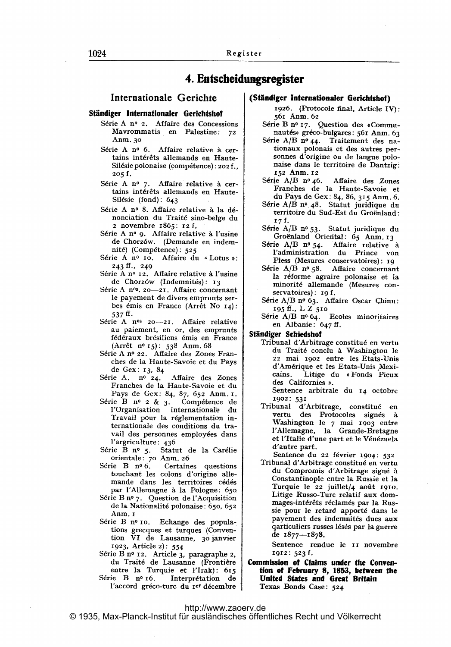# 4. Entscheidungsregister

# Internationale Gerichte

### Ständiger Internationaler Gerichtshof

- Série A nº 2. Affaire des Concessions Mavrommatis en Palestine: <sup>72</sup> Anm. 30
- Série A nº 6. Affaire relative à certains intérêts allemands en Haute-Silésie polonaise (compétence) : 202 f.,  $205 f.$
- Série A nº 7. Affaire relative à certains intérêts allemands en Haute-Silésie (fond): 643
- Série A nº 8. Affaire relative à la dénonciation du Traité sino-belge du 2 novembre 1865: 12 f.
- Série A nº 9. Affaire relative à l'usine de Chorz6w. (Demande en indemnité) (Compétence): 525
- Série A nº 10. Affaire du « Lotus »: 243 ff., 249
- Série A nº 12. Affaire relative à l'usine de Chorzów (Indemnités): 13
- Série A nºs. 20-21. Affaire concernant le payement de divers emprunts serbes émis en France (Arrêt No 14): 537 ff -
- Série A nºs 20-21. Affaire relative au paiement, en or, des emprunts<br>fédéraux brésiliens émis en France (Arrêt nº 15): 538 Anm. 68
- Série A nº 22. Affaire des Zones Franches de la Haute-Savoie et du Pays de Gex: 13, <sup>84</sup>
- Série A. nº 24. Affaire des Zones Franches de la Haute-Savoie et du Pays de Gex: 84, 87, 652 Anm. i.
- Série B nº 2 & 3. Compétence de l'Organisation internationale du Travail pour la réglementation internationale des conditions du travail des personnes employées dans I'argriculture: 436
- Série B nº 5. Statut de la Carélie orientale: 7o Anrn. 26
- Série B nº 6. Certaines questions touchant les colons d'origine allemande dans les territoires cédés par l'Allemagne à la Pologne: 650
- Série B nº 7. Question de l'Acquisition de la Nationalité polonaise: 650, 652 Anm. 1
- Série B nº 10. Echange des populations grecques et turques (Convention VI de Lausanne, 30janvier 1923, Article 2): 554
- Série B nº 12. Article 3, paragraphe 2, du Traité de Lausanne (Frontière entre la Turquie et l'Irak): 615 Série B nº 16. Interprétation de
- l'accord gréco-turc du rer décembre

## (Ständiger Internationaler Gerichtshof)

- 1926. (Protocole final, Article IV): 561 Anm. 62
- Série B nº 17. Question des «Communautés» gréco-bulgares: 561 Anm. 63
- Série A/B nº 44. Traitement des nationaux polonais et des autres personnes d'origine ou de langue polo naise dans le territoire de Dantzig. 152 Anm. 12
- Série A/B nº 46. Affaire des Zones Franches de la Haute-Savoie et du Pays de Gex: 84, 86, 315 Anm. 6.
- Série A/B nº 48. Statut juridique du territoire du Sud-Est du Groënland: 17f-
- Série A/B nº 53. Statut juridique du Groënland Oriental: 65 Anm. 13
- Série A/B nº 54. Affaire relative à I'administration du Prince von Pless (Mesures conservatoires): ig
- Série A/B nº 58. Affaire concernant la réforme agraire polonaise et la minorit6 allemande (Mesures conservatoires): 19 f.
- Série A/B nº 63. Affaire Oscar Chinn: <sup>195</sup> ff., L Z <sup>510</sup>
- Série  $A/B$  nº 64. Ecoles minoritaires en Albanie: 647 ff.

#### Ständiger Schiedshof

- Tribunal d'Arbitrage constitué en vertu du Traité conclu à Washington le 22 mai. 1902 entre les Etats-Unis d'Am6rique et les Etats-Unis,Mexi cains. Litige du \*Fonds Pieux des Californies ».
	- Sentence arbitrale du <sup>14</sup> octobre 1902: 531
- Tribunal d'Arbitrage, constitué en vertu des Protocoles signés à Washington le 7 mai 1903 entre I'Allemagne, la Grande-Bretagne et I'Italie d'une part et le V6n6zuela d'autre part.
- Sentence du 22 février 1904: 532 Tribunal d'Arbitrage constitué en vertu du Compromis d'Arbitrage signé à Constantinople entre la Russie et la Turquie le 22 juillet/4 août 1910. Litige Russo-Turc relatif aux dommages-intérêts réclamés par la Russie pour le retard apport6 dans le payement des indemnités dues aux qarticuliers russes 16s6s par la guerre de 1877-1878-

Sentence rendue le ii novembre 1912: 523 f.

Commission of Claims under the Convention of February 8, 1853, between the United States and Great Britain Texas Bonds Case: 524

## <http://www.zaoerv.de>

© 1935, Max-Planck-Institut für ausländisches öffentliches Recht und Völkerrecht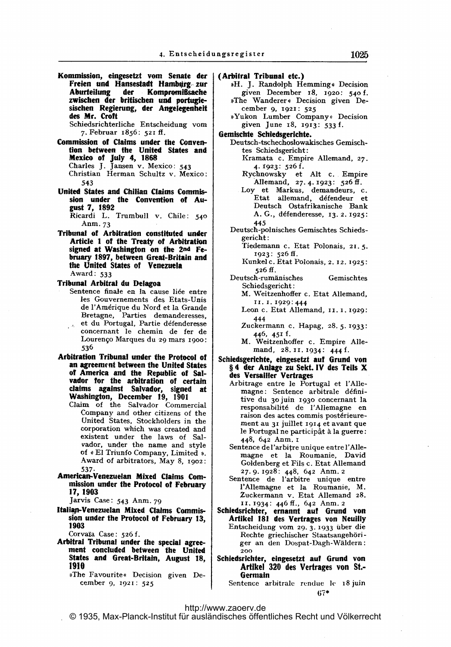Kommission, eingesetzt vom Senate der Freien und Hansestadt Hamburg zur<br>Aburteilung der Kompromißsache Kompromißsache zwischen der britischen und portugle sischen Regierung, der Angelegenheit des Mr. Croft

Schiedsrichterliche Entscheidung vorn 7. Februar 1856: 521 ff.

Commission of Claims under the Convention between the United States and Mexico of July 4, 1868 Charles J. Jansen v. Mexico: 543 Christian Herman Schultz v. Mexico:

543

United States and Chilian Claims Commission under the Convention of August 7, 1892

Ricardi L. Trumbull v. Chile: 540 Anm. 73

Tribunal of Arbitration constituted under Article <sup>I</sup> of the Treaty of Arbitration signed at Washington on the 2nd February 1897, between Great-Britain and the United States of Venezuela Award: 533

Tribunal Arbitral du Delagoa

- Sentence finale en la cause liée entre les Gouvernements des Etats-Unis de I'Am6rique du Nord et la Grande Bretagne, Parties demanderesses, et du Portugal, Partie défenderesse concernant le chemin de fer de Lourenço Marques du 29 mars 1900: 536
- Arbitration Tribunal under the Protocol of an agreement between the United States of America and the Republic of Salvador for the arbitration of certain claims against Salvador, signed at Washington, December 19, 1901
	- Claim of the Salvador Commercial Company and other citizens of the United States, Stockholders in the corporation which was created and existent under the laws of Salvador, under the name and style of « El Triunfo Company, Limited ». Award of arbitrators, May 8, 1902: 537-
- American-Venezuelan Mixed Claims Commission under the Protocol of February 17,1903

Jarvis Case: <sup>543</sup> Anm. <sup>79</sup>

Italian-Venezuelan Mixed Claims Commission under the Protocol of February 13,<br>1903

Corvaia Case: 526 f.

- Arbitral Tribunal under the special agreement concluded between the United States and Great-Britain, August 18, 1910
	- ))The Favourite< Decision given December 9, 1921: 525

(Arbitral Tribunal etc.)

- »H. J. Randolph Hemming« Decision given December 18, 1920: 540 f. »The Wanderer« Decision given December 9, 1921: 525
- \*Yukon Lumber Company » Decision given June 18, 1913: 533 f.

Gemischte Schiedsgerichte.

- Deutsch-tschechoslowakisches Gemischtes Schiedsgericht: Kramata c. Empire Allemand, 27-
	- 4- 1923: 526 f.
	- Rychnowsky et Alt c. Empire Allemand, 27. 4. 1923: 526 ff.
	- Loy et Markus, demandeurs, c. Etat allemand, défendeur et Deutsch Ostafrikanische Bank A. G., défenderesse, 13. 2. 1925: 445
- Deutsch-polnisches Gemischtes Schiedsgericht:
	- Tiedemann c. Etat Polonais, 21. 5. 1923: 526 ff.
	- Kunkel c. Etat Polonais, 2. 12. 1925: 526 ff.
- Deutsch-rumanisches Gemischtes Schiedsgericht:
	- M. Weitzenhoffer c. Etat Allemand, <sup>I</sup> 1. 1. 1929: 444
	- Leon c. Etat Allemand, 11. 1. 1929: 444
	- Zuckermann c. Hapag, 28.5-1933: 446, 451 f.
	- M. Weitzenhoffer c. Empire Allemand, 28. 11. 1934: 444 f.
- Schiedsgerichte, eingesetzt auf Grund von § <sup>4</sup> der Anlage zu Sekt. IV des Teils X des Versailler Vertrages
	- Arbitrage entre le Portugal et I'Allemagne: Sentence arbitrale définitive du 30 juin 1930 concernant la responsabilit6 de I'Allemagne en raison des actes commis postérieurement au <sup>31</sup> juillet 194 et avant que le Portugal ne participât à la guerre: 448. 642 Anm. <sup>i</sup>
	- Sentence de l'arbitre unique entre l'Allemagne et la Roumanie, David Goldenberg et Fils c. Etat Allemand 27. 9- 1928: 448, 642 Anm. <sup>2</sup>
	- Sentence de l'arbitre unique entre l'Allemagne et la Roumanie, M. Zuckermann v. Etat Allemand 28. 11. 1934: 446 ff., 642 Anm. 2
- Schiedsrichter, ernannt aut Grund von Artikel 181 des Vertrages von Neuilly Entscheidung VOM 29- 3- 1933 Uber die Rechte griechischer Staatsangehöriger an den Dospat-Dagh-Waldern: 200
- Schiedsrichter, eingesetzt auf Grund von Artikel 320 des Vertrages von St.- Germain

Sentence arbitrale rendue le 18 juin 07\*

# <http://www.zaoerv.de>

© 1935, Max-Planck-Institut für ausländisches öffentliches Recht und Völkerrecht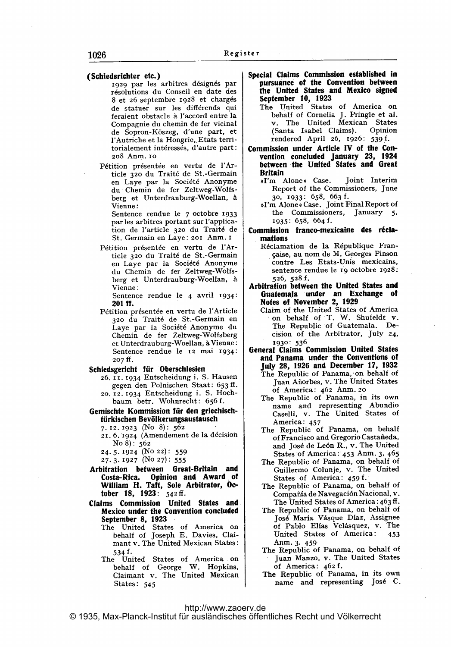#### (Schiedsrichter etc.)

- 1929 par les arbitres désignés par résolutions du Conseil en date des 8 et 26 septembre 1928 et chargés de statuer sur les différends qui feraient obstacle à l'accord entre la Compagnie du chemin de fer vicinal de Sopron-K6szeg, d'une part, et l'Autriche et la Hongrie, Etats territorialement int6ress6s, d'autre part: 2o8 AnM. io
- Pétition présentée en vertu de l'Article 32o du Trait6 de St.-Germain en Laye par la Société Anonyme du Chemin de fer Zeltweg-Wolfsberg et Unterdrauburg-Woellan, à Vienne:

Sentence rendue le 7 octobre 1933 par les arbitres portant sur I'application de Yarticle 32o du Trait6 de St. Germain en Laye: <sup>201</sup> Anm. <sup>r</sup>

Pétition présentée en vertu de l'Article 32o du Trait6 de St.-Germain en Laye par la Soci&6 Anonyme du Chemin de fer Zeltweg-Wolfsberg et Unterdrauburg-Woellan, A Vienne:

Sentence rendue le 4 avril 1934: 201 ff.

Pétition présentée en vertu de l'Article 32o du Trait6 de St.-Germain en Laye par la Soci6t6 Anonyme du Chernin de fer Zeltweg-Wolfsberg et Unterdrauburg-Woellan, & Vienne: Sentence rendue le 12 mai 1934:  $207 \text{ ff}.$ 

## Schiedsgericht für Oberschlesien

- 26. <sup>11</sup> 1934 Entscheidung i. S. Hausen gegen den Polnischen Staat: 653 ff - 20. 12. 1934 Entscheidung i. S. Hochbaum betr. Wohnrecht: 656 f.
- Gemischte Kommission für den griechischtürkischen Bevölkerungsaustausch
	- 7- 12. 1923 (No 8): 562
	- 21. 6. 1924 (Amendement de la décision No 8): <sup>562</sup>
	- 24.5-1924 (NO 22): 559
	- 27-3. 1927 (NO 27): 555
- Arbitration between Great-Britain and Costa-Rica. Opinion and Award of William H. Taft, Sole Arbitrator, October 18, 1923: 542 ff.
- Claims Commission United States and Mexico under the Convention concluded September 8, 1923
	- The United States of America on behalf of Joseph E. Davies, Claimant v. The United Mexican States: 534 f -
	- The United States of Amerita on behalf of George W. Hopkins, Claimant v. The United Mexican States: 545
- Special Claims Commission established in pursuance of the Convention between the United States and Mexico signed September 10, 1923
	- The United States of America on behalf of Cornelia J. Pringle et al. v. The United Mexican States (Santa Isabel Claims). Opinion rendered April 26, 1926: 539 f.
- Commission under Article IV of the Convention concluded January 23, 1924 between the United States and Great Britain
	- »I'm Alone« Case. Joint Interim Report of the Commissioners, June 30, 1933: 658, 663 f.
	- \*I'm Alone# Case. joint Final Report of the Commissioners, January 5, 1935: 658, 664 f.
- Commission franco-mexicaine des r6clamations
	- Réclamation de la République Frangaise, au nom de M. Georges Pinson contre Les Etats-Unis mexicains, sentence rendue le ig octobre 1928 526, 528 f.
- Arbitration between the United States and Guatemala under an Exchange of
	- Claim of the United States of America -on behalf of T. W. Shufeldt v. The Republic of Guatemala. Decision of the Arbitrator, July 24, 1930: 536
- General Claims Commission United States and Panama under the Conventions of July 28, 1926 and December 17, 1932 The Republic of Panama, on behalf of Juan Añorbes, v. The United States of America: 462 Anm. 20
	- The Republic of Panama, in its own name and representing Abundio Caselli, v. The United States of America: 457
	- The Republic of Panama, on behalf of Francisco and Gregorio Castafteda, and Jos6 de Le6n R., v. The United States of America: 453 Anm. 3, 465
	- The Republic of Panama, on behalf of Guillermo Colunje, v. The United States of America: 459 f.
	- The Republic of Panama, on behalf of Compañía de Navegación Nacional, v. The United States of America:  $463 \text{ ff}$ .
	- The Republic of Panama, on behalf of José María Vásque Díaz, Assignee of Pablo Elías Velásquez, v. The United States of America: 453 Anm. 3, 459
	- The Republic of Panama, on behalf of Juan Manzo, v. The United States of America: 462 f.
	- The Republic of Panama, in its own name and representing Jos6 C.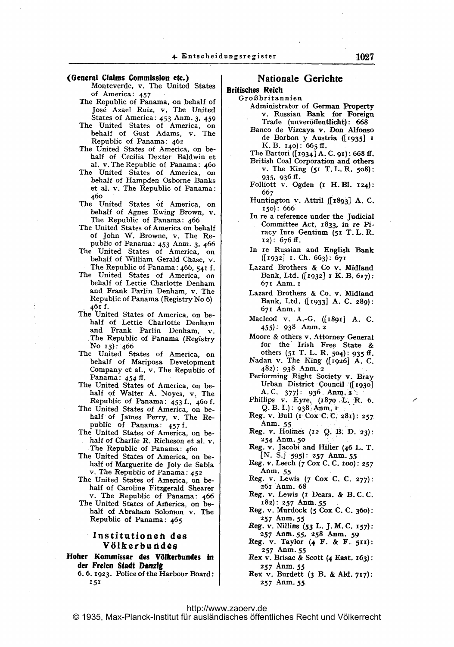#### (General Claims Commission ete.)

- Monteverde, v. The United States of America: 457
- The Republic of Panama, on behalf of Jos6 Azael Ruiz, v. The United States of America: 453 Anm. 3, 459
- The United States of America, on behalf of Gust Adams, v. The Republic of Panama: 462
- The United States of America, on behalf of Cecilia Dexter Baldwin et al. v. The Republic of Panama: 460
- The United States of America, on behalf of Hampden Osborne Banks et al. v. The Republic of Panama: 46o
- The United States of America, on behalf of Agnes Ewing Brown, v.<br>The Republic of Panama: 466
- The United States of America on behalf of John W. Browne, v. The Republic of Panama: 453 Anm. 3, 466
- The United States of America, on behalf of William Gerald Chase, v. The Republic of Panama: 466, 541 f.
- The United States of America, on behalf of Lettie Charlotte Denham and Frank Parlin Denham, v. The Republic of Panama (Registry No 6) 461 f.
- The United States of America, on behalf of Lettie Charlotte Denham and Frank Parlin Denham, v. The Republic of Panama (Registry<br>No 13): 466<br>The United States of America, on
- behalf of Mariposa Development Company et al., v. The Republic of Panama: 454 ff.
- The United States of America, on behalf qf Walter A. Noyes, v, The
- Republic of Panama: 453 f., 460 f.<br>The United States of America, on behalf of James Perry, v. The Re-<br>public of Panama:  $457$  f.
- The United States of America, on behalf of Charlie R. Richeson et al. v.<br>The Republic of Panama: 460
- The United States of America, on behalf of Marguerite de Joly de Sabla v. The Republic of Panama: <sup>452</sup>
- The United States of America, on behalf of Caroline Fitzgerald Shearer
- v. The Republic of Panama: 466<br>The United States of America, on behalf of Abraham Solomon v. The Republic of Panama: 465

## Institutionen des Völkerbundes

Hoher Kommissar des Völkerbundes in der Freien Stadt Danzig

6. 6. 1923. Police of the Harbour Board: 151

# Nationale Gerichte

# Britisches; Reich

#### Großbritannien

- Administrator of German Property v. Russian Bank for Foreign Trade (unveröffentlicht): 668
- Banco de Vizcaya v. Don Alfonso de Borbon y Austria ([1935] 1<br>K.B. 140): 665 ff.

The Bartori ( $(1934)$  A. C. 91): 668 ff.

- British Coal Corporation and others v. The King (51 T. L. R. 508): 935, 936 ff.
- Folliott v. Ogden (i H. Bl. 124): 667
- Huntington v. Attril ([1893] A. C.  $150$ : 666
- In re a reference under the judicial Committee Act, z833, in re Piracy Iure Gentium (51 T. L. R.  $12)$ : 676 ff.
- In re Russian and English Bank  $([1932]$  I. Ch. 663): 671
- Lazard Brothers & Co v. Midland Bank, Ltd. ([1932]  $\,$  K. B. 617): .671 Anm. <sup>i</sup>
- Lazard Brothers & Co. v. Midland Bank, Ltd. ([1933] A. C. 289): 671 Anm. <sup>i</sup>
- Macleod v. A.-G. ([x89x] A. C. 455): 938 Anm. <sup>2</sup>
- Moore & others v. Attorney General for the' Irish Free State & others (51 T. L. R. 504): 935 ff.
- Nadan v. The King ([1926] A. C. 482): 938 Anm. <sup>2</sup>
- Performing Right Society v. Bray<br>Urban District Council .([1930]<br>A.C. 377): 936. Anm. x
- Phillips v. Eyre,  $(1870, L, R, 6.$  $Q. B. I.$ ): 938 Anm, r
- Reg. v. Bull ( $I$ . Cox. C. C. 281): 257. Anm. <sup>55</sup>
- Reg. v. Holmes  $(12 \ 0, B, D, 23)$ : 254 Anm. 5o
- Reg. v. Jacobi and Hiller (46 L. T.  $[N. S.]$  595): 257 Anm. 55
- Reg. v. Leech (7 Cox C. C. iOO): 257 Anm. <sup>55</sup>
- Reg. v. Lewis (7 Cox C. C. 277): 26r Anm. 68
- Reg. v. Lewis (1 Dears. & B.C.C. 182): 257 Anm. 55
- Reg. v. Murdock (5 Cox C. C. 360): 257 Anm- 55
- Reg. v. Nillins (53 L. J. M. C. 157): 257 Anm. 55, 258 Anm. 59
- Reg. v. Taylor  $(4 \tF. & F. 511)$ : 257 Anm. <sup>55</sup>
- Rex v. Brisac & Scott (4 East. x63): 257 Anm. 55
- Rex v. Burdett (3 B. & Ald. 717): 257 Anm- <sup>55</sup>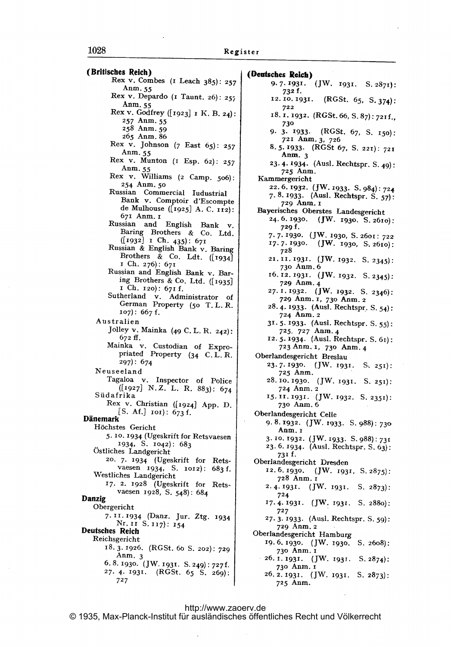(Britisches Reich)<br>Rex v. Combes ( $\frac{1}{2}$  Leach 385): 257 Anm. 55 Rex v. Depardo ( $\text{I}$  Taunt. 26): 257 Anm- 55 Rex v. Godfrey ([1923] 1 K. B. 24): 257 Anm. <sup>55</sup> 258 Anm. 59 265 Anm. 86 Rex v. Johnson (7 East 65): <sup>257</sup> Anm. 55 Rex v. Munton (i Esp. 62): <sup>257</sup> Anm.  $5$ . Rex v. Williams (2 Camp. 506) 254 Anm. 5o Russian Commercial ludustrial Bank v. Comptoir d'Escompte de Mulhouse ([1925] A. C. 112): 671 Anm. <sup>1</sup> Russian and English Bank v. Baring Brothers & Co. Ltd.  $(1932)$  I Ch. 435): 67 Russian & English Bank v. Baring Brothers & Co. Ldt.  $([1934]$ <sup>i</sup> Ch. 276): 671 Russian and English Bank v. Baring Brothers & Co. Ltd. ([1935] <sup>i</sup> Ch. i2o): 671 f. Sutherland v. Administrator of German Property (5o T. L. R.  $107)$ : 667 f. Australien Jolley v. Mainka (49 C. L. R. 242): 672 ff. Mainka v. Custodian of Expropriated Property (34 C. L. R. 297): 674 Neuseeland Tagaloa v. Inspector of Police ([19271 N.Z. L. R. 883): 674 Siidafrika Rex v. Christian ([1924] App. D. [S. Af.]  $\text{IO}$ ]: 673 f. Dänemark Höchstes Gericht 5. 10-1934 (Ugeskrift for Retsvaesen 1934, S. 1042): 683 Ostliches Landgericht 20. 7- 1934 (Ugeskrift for Retsvaesen 1934, S. 1012): 683 f. Westliches Landgericht 17. 2. 1928 (Ugeskrift for Retsvaesen 1928, S. 548): 684 Danzig Obergericht 7-11-1934 (Danz. jur. Ztg. 1934 Nr. 11 S. 117): 154 Deutsches Reich Reichsgericht 18-3-1926. (RGSt. 6o S. 202): 729 Anm. <sup>3</sup> 6. 8.1930- UW. 1931. S. 249): 727f-27- 4- 1931. (RGSt. 65 S. 269): 727

(Ocutsches Reich) 9.7.1931. (JW. 1931. S. 2871): 732 f. 12.10.1931. (RGSt. 65, S. 374): 722 18. 1. 1932. (RGSt. 66, S. 87): 721 f., 730 9. 3- 1933. (RGSt. 67, S. 150): 7?1 Anm- 3, 726 8.5-1933. (RGSt 67, S. 221): 721 Anm.  $3$ 23. 4- 31934- (Ausl. Rechtspr. S. 49): 725 Anm. Kammergericht 22.6.1932. (JW. 1933. S. 984): 724 7. 8. 1933. (Ausl. Rechtspr. S. 57): 729 Anm. I Bayerisches Oberstes Landesgericht 24-6-1930. (JW. 1930. S.261o): 729 f. 7.7.1930. (JW. 1930, S. 2601: 722  $17.7.1930.$  (JW. 1930, S. 2610): 728 21. 11. 1931. (JW. 1932. S. 2345): 73o Aum. 6 16. 12. 1931. (JW. 1932. S. 2345): 729 Anm- 4 27. I. 1932. (JW. 1932. S. 2346): 729 Anm. 1, 730 Anm. 2 28. 4. 1933. (Ausl. Rechtspr. S. 54): <sup>724</sup> Aum. <sup>2</sup> 31- 5.1933- (Ausl. Rechtspr. S. 55): 725. 727 Anm- <sup>4</sup> 12. 5. 1934. (Ausl. Rechtspr. S. 61): 723 Anm. 1, 730 Anm. 4 Oberlandesgericht Breslau 23.7-1930. UW. 1931. S, 251): <sup>725</sup> Anm. 28- 10- 1930. (JW. 1931. S. 251): <sup>724</sup> Anm. <sup>2</sup> 15. II. 1931. (JW. 1932. S. 2351): 73o Anm. <sup>6</sup> Oberlandesgericht Celle 9. 8. 1932. (JW. 1933. S. 988): 730 Anm. <sup>x</sup> 3.10 1932. (JW. 1933. S. 988): 731 23. 6- 1934- (Ausl. Rechtspr. S. 63): 731 f. Oberlandesgericht Dresden 12. 5. 1930. (JW. 1931, S. 2875): 728 Anm. <sup>r</sup> 2.4.1931. (JW. 1931. S. 2873): 724 17.4-1931- UW- 1931. S. 2880): 727 27.3- 1933. (Ausl. Rechtspr. S. 59): <sup>729</sup> Anm. <sup>2</sup> Oberlandesgericht Hamburg ig. 6.1930. (JW- 1930. S. 26o8): 73o Anm. <sup>i</sup> 26. I. 1931. (JW. 1931. S. 2874): 73o Anm. <sup>i</sup>  $26.2.1931.$  (JW. 1931. S.  $2873$ ):

### <http://www.zaoerv.de>

© 1935, Max-Planck-Institut für ausländisches öffentliches Recht und Völkerrecht

<sup>725</sup> Anm.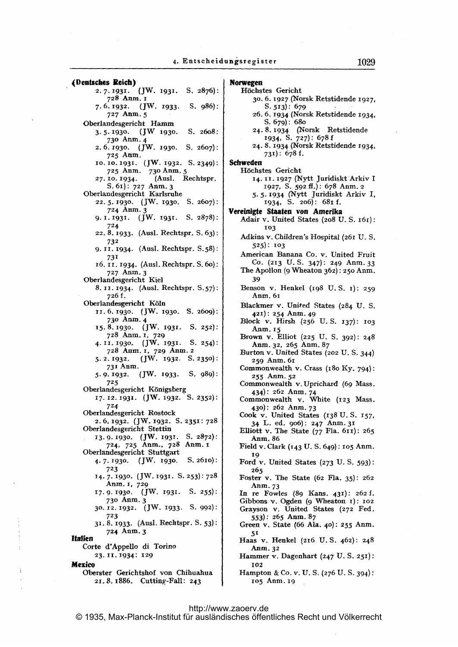(Dentsches Reich) 2.7-1931. (JW- 1931- S. 2876): 728 Anm. 1[ 7. 6.1932. UW- 1933. S. 986): 727 Anm. <sup>5</sup> Oberlandesgericht Hamm 3-5-1930. UW 1930- S. 26o8: 73o Anm- <sup>4</sup> 2- 6.1930- (JW- 1930. S. 2607): 725 Anm. 10. 10. 1931. (JW. 1932. S. 2349): 725 Anm. 730 Anm. 5 27. 10. 1934. (Ausl. Rechtspr. S. 61): 727 Anm. 3 Oberlandesgericht Karlsruhe 22.5-1930. (JW- 1930. S. 2607): 724 Anm. <sup>3</sup> 9. 1. 1931.  $(jW. 1931. S. 2878)$ : 724 22. 8- 1933. (Ausl. Rechtspr. S. 63): 732 9. 11. 1934. (Ausl. Rechtspr. S. 58): 731 16. 11. 1934. (Ausl. Rechtspr. S. 60): <sup>727</sup> Anm- <sup>3</sup> Oberlandesgericht Kiel 8.11-1934. (Ausl. Rechtspr. S.57): 726 f. Oberlandesgericht K61n 11. 6- r930- (JW- 1930- S. 26og): 73o Anm. <sup>4</sup> 15.8.1930. (JW. 1931. S. 252): 728 Anm. 1, 729 4.11-1930. (JW. 1931. S. 254): <sup>728</sup> Aam. 1, 729 Anm. <sup>2</sup> 5.2.1932. (JW. 1932. S. 2350): <sup>731</sup> Anm. 5- 9-1932- JW- 1933- S. 989): 725 Oberlandesgericht K6nigsberg 17. 12. 1931. (JW. 1932. S. 2352): 724 Oberlandesgericht Rostock 2.6.1932. (JW. 1932. S. 2351: 728. Oberlandesgericht Stettin 13.9-1930. (JW. 1937. S. 2872): 724, <sup>725</sup> Anm., 728 Anm. <sup>i</sup> Oberlandesgericht Stuttgart 4-7-1930- (JW- 1930. S. 261o): 723 14-7-1930. (JW.1931. S.253):728 Anm. 1, 729 17.9.1930. (JW. 1931. S. 255): 73o Anm- <sup>3</sup> 30- 12- 1932. (JW- 1933. S- 992): 723 31-8- 1933- (Ausl. Rechtspr. S. 53): 724 Anm- <sup>3</sup> Italien Corte d'Appello di Torino 23-11-1934: 129 Mexico Oberster Gerichtshof von Chihuahua 2z, 8. 1886. Cuttiny-Fall: 243

#### Norwegen H6chstes Gericht 30. 6. 1927 (Xorsk Retstidende 1927, S-513). 679 26. 6. 1934 (Norsk Retstidende 1934, S. 679): 680 24. 8.1934 (Xorsk Retstidende 1934, S. 727): 678 f 24- 8- 1934 (Norsk Retstidende 1934,  $731$ : 678 f. Schweden Höchstes Gericht 14. II. 1927 (Nytt Juridiskt Arkiv I 1927, S. 592 ff.): 678 Anm, <sup>2</sup> 5- 5- 1934 (NYtt Juridiskt Arkiv 1, 1934, S. 2o6): 681 f. Vereinigte Staaten von Amerika Adair v. United States (2o8 U. S. 161): 103 Adkins v. Children's Hospital (261 U. S. 525): 103 American Banana Co. v. United Fruit CO. (213 U. S. 347): 249 Anm- <sup>33</sup> The Apollon  $(9$  Wheaton  $362)$ : 250 Anm. 39 Benson v. Henkel (198 U.S. 1): 259 Anm. 61 Blackmer v. United States (284 U. S. 421): <sup>254</sup> Anm. 49 Block v. Hirsh (256 U. S. 137): 103 Anm. r5 Brown v. Elliot (225 U. S. 392): 248 Anm. 32, 265 Anm. 87 Burton v. United States (202 U.S. 344) 259 Anm. <sup>61</sup> Commonwealth v. Crass (180 KY. 794): 255 Anni. 52 Commonwealth v.Uprichard (69 Mass. 434): 262 Anm- 74 Commonwealth v. White (123 Mass. 430): 26z Anm- <sup>73</sup> Cook v. United States (138 U.S. 157, 34 L. ed. oo6): 247 Anm- <sup>31</sup> Elliott v. The State  $(77$  Fla.  $611)$ : 265 Anm. 86 Field v. Clark (143 U. S. 649): <sup>105</sup> Anm. 19 Ford v. United States (273 U.S. 593): 265 Foster v. The State (62 Fla. 35): 262 Anm. 73 In re Fowles (89 Kans. 431): 262 f. Gibbons v. Ogden (9 Wheaton 1): 102 Grayson v. United States (272 Fed. 553): 265 Anm. 87 Green v. State (66 Ala. 40). 255 Anm. 51 Haas v. Henkel (216 U.S. 462): 248 Anm. 32

- Hammer v. Dagenhart (247 U. S. 251): 102
- Hampton & Co. v. U. S. (276 U. S- 394): <sup>105</sup> Anm. ig

<http://www.zaoerv.de>